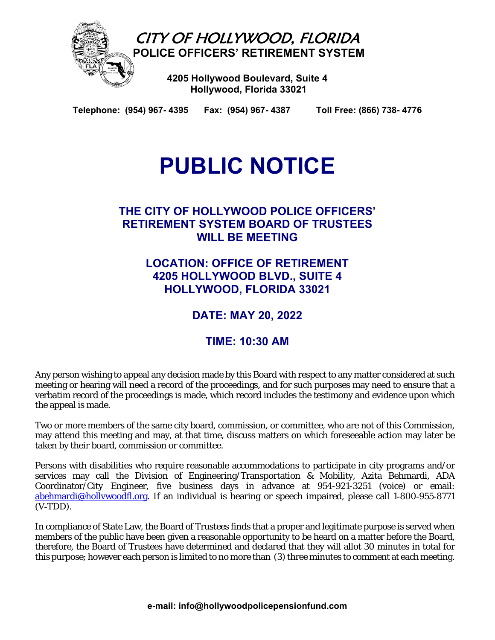

CITY OF HOLLYWOOD, FLORIDA  **POLICE OFFICERS' RETIREMENT SYSTEM** 

> **4205 Hollywood Boulevard, Suite 4 Hollywood, Florida 33021**

**Telephone: (954) 967- 4395 Fax: (954) 967- 4387 Toll Free: (866) 738- 4776** 

# **PUBLIC NOTICE**

### **THE CITY OF HOLLYWOOD POLICE OFFICERS' RETIREMENT SYSTEM BOARD OF TRUSTEES WILL BE MEETING**

**LOCATION: OFFICE OF RETIREMENT 4205 HOLLYWOOD BLVD., SUITE 4 HOLLYWOOD, FLORIDA 33021** 

**DATE: MAY 20, 2022** 

## **TIME: 10:30 AM**

Any person wishing to appeal any decision made by this Board with respect to any matter considered at such meeting or hearing will need a record of the proceedings, and for such purposes may need to ensure that a verbatim record of the proceedings is made, which record includes the testimony and evidence upon which the appeal is made.

Two or more members of the same city board, commission, or committee, who are not of this Commission, may attend this meeting and may, at that time, discuss matters on which foreseeable action may later be taken by their board, commission or committee.

Persons with disabilities who require reasonable accommodations to participate in city programs and/or services may call the Division of Engineering/Transportation & Mobility, Azita Behmardi, ADA Coordinator/City Engineer, five business days in advance at 954-921-3251 (voice) or email: abehmardi@hollywoodfl.org. If an individual is hearing or speech impaired, please call 1-800-955-8771  $(V-TDD)$ .

In compliance of State Law, the Board of Trustees finds that a proper and legitimate purpose is served when members of the public have been given a reasonable opportunity to be heard on a matter before the Board, therefore, the Board of Trustees have determined and declared that they will allot 30 minutes in total for this purpose; however each person is limited to no more than (3) three minutes to comment at each meeting.